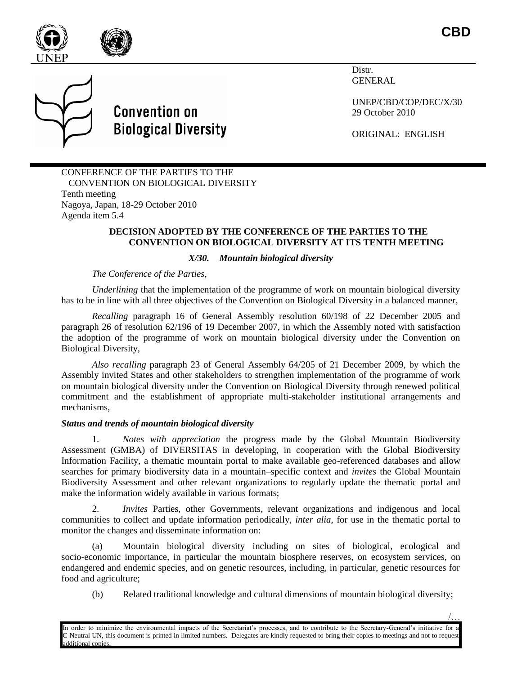

/…





Distr. GENERAL

UNEP/CBD/COP/DEC/X/30 29 October 2010

ORIGINAL: ENGLISH

CONFERENCE OF THE PARTIES TO THE CONVENTION ON BIOLOGICAL DIVERSITY Tenth meeting Nagoya, Japan, 18-29 October 2010 Agenda item 5.4

#### **DECISION ADOPTED BY THE CONFERENCE OF THE PARTIES TO THE CONVENTION ON BIOLOGICAL DIVERSITY AT ITS TENTH MEETING**

# *X/30. Mountain biological diversity*

*The Conference of the Parties,* 

*Underlining* that the implementation of the programme of work on mountain biological diversity has to be in line with all three objectives of the Convention on Biological Diversity in a balanced manner*,*

*Recalling* paragraph 16 of General Assembly resolution 60/198 of 22 December 2005 and paragraph 26 of resolution 62/196 of 19 December 2007, in which the Assembly noted with satisfaction the adoption of the programme of work on mountain biological diversity under the Convention on Biological Diversity,

*Also recalling* paragraph 23 of General Assembly 64/205 of 21 December 2009, by which the Assembly invited States and other stakeholders to strengthen implementation of the programme of work on mountain biological diversity under the Convention on Biological Diversity through renewed political commitment and the establishment of appropriate multi-stakeholder institutional arrangements and mechanisms,

# *Status and trends of mountain biological diversity*

1. *Notes with appreciation* the progress made by the Global Mountain Biodiversity Assessment (GMBA) of DIVERSITAS in developing, in cooperation with the Global Biodiversity Information Facility, a thematic mountain portal to make available geo-referenced databases and allow searches for primary biodiversity data in a mountain–specific context and *invites* the Global Mountain Biodiversity Assessment and other relevant organizations to regularly update the thematic portal and make the information widely available in various formats;

2. *Invites* Parties, other Governments, relevant organizations and indigenous and local communities to collect and update information periodically, *inter alia,* for use in the thematic portal to monitor the changes and disseminate information on:

(a) Mountain biological diversity including on sites of biological, ecological and socio-economic importance, in particular the mountain biosphere reserves, on ecosystem services, on endangered and endemic species, and on genetic resources, including, in particular, genetic resources for food and agriculture;

(b) Related traditional knowledge and cultural dimensions of mountain biological diversity;

In order to minimize the environmental impacts of the Secretariat's processes, and to contribute to the Secretary-General's initiative for a C-Neutral UN, this document is printed in limited numbers. Delegates are kindly requested to bring their copies to meetings and not to request additional copies.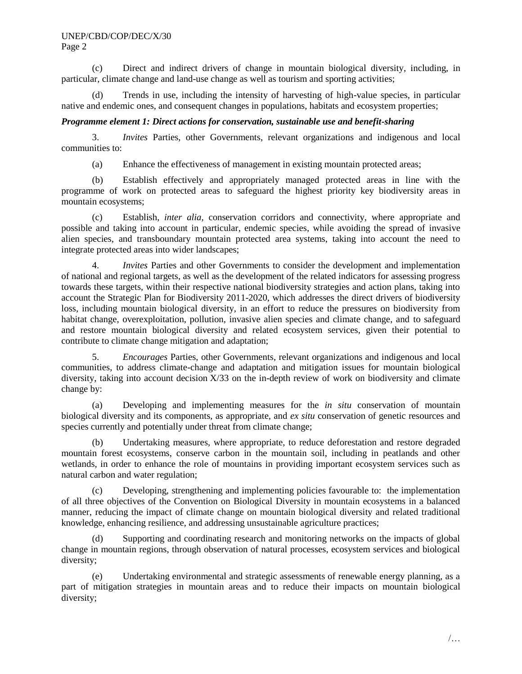(c) Direct and indirect drivers of change in mountain biological diversity, including, in particular, climate change and land-use change as well as tourism and sporting activities;

(d) Trends in use, including the intensity of harvesting of high-value species, in particular native and endemic ones, and consequent changes in populations, habitats and ecosystem properties;

# *Programme element 1: Direct actions for conservation, sustainable use and benefit-sharing*

3. *Invites* Parties, other Governments, relevant organizations and indigenous and local communities to:

(a) Enhance the effectiveness of management in existing mountain protected areas;

(b) Establish effectively and appropriately managed protected areas in line with the programme of work on protected areas to safeguard the highest priority key biodiversity areas in mountain ecosystems;

(c) Establish, *inter alia,* conservation corridors and connectivity, where appropriate and possible and taking into account in particular, endemic species, while avoiding the spread of invasive alien species, and transboundary mountain protected area systems, taking into account the need to integrate protected areas into wider landscapes;

4. *Invites* Parties and other Governments to consider the development and implementation of national and regional targets, as well as the development of the related indicators for assessing progress towards these targets, within their respective national biodiversity strategies and action plans, taking into account the Strategic Plan for Biodiversity 2011-2020, which addresses the direct drivers of biodiversity loss, including mountain biological diversity, in an effort to reduce the pressures on biodiversity from habitat change, overexploitation, pollution, invasive alien species and climate change, and to safeguard and restore mountain biological diversity and related ecosystem services, given their potential to contribute to climate change mitigation and adaptation;

5. *Encourages* Parties, other Governments, relevant organizations and indigenous and local communities, to address climate-change and adaptation and mitigation issues for mountain biological diversity, taking into account decision X/33 on the in-depth review of work on biodiversity and climate change by:

(a) Developing and implementing measures for the *in situ* conservation of mountain biological diversity and its components, as appropriate, and *ex situ* conservation of genetic resources and species currently and potentially under threat from climate change;

(b) Undertaking measures, where appropriate, to reduce deforestation and restore degraded mountain forest ecosystems, conserve carbon in the mountain soil, including in peatlands and other wetlands, in order to enhance the role of mountains in providing important ecosystem services such as natural carbon and water regulation;

(c) Developing, strengthening and implementing policies favourable to: the implementation of all three objectives of the Convention on Biological Diversity in mountain ecosystems in a balanced manner, reducing the impact of climate change on mountain biological diversity and related traditional knowledge, enhancing resilience, and addressing unsustainable agriculture practices;

(d) Supporting and coordinating research and monitoring networks on the impacts of global change in mountain regions, through observation of natural processes, ecosystem services and biological diversity;

(e) Undertaking environmental and strategic assessments of renewable energy planning, as a part of mitigation strategies in mountain areas and to reduce their impacts on mountain biological diversity;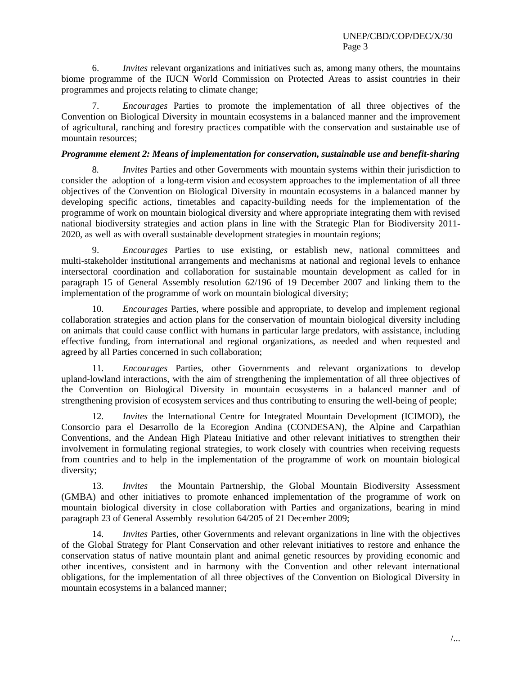6. *Invites* relevant organizations and initiatives such as, among many others, the mountains biome programme of the IUCN World Commission on Protected Areas to assist countries in their programmes and projects relating to climate change;

7. *Encourages* Parties to promote the implementation of all three objectives of the Convention on Biological Diversity in mountain ecosystems in a balanced manner and the improvement of agricultural, ranching and forestry practices compatible with the conservation and sustainable use of mountain resources;

# *Programme element 2: Means of implementation for conservation, sustainable use and benefit-sharing*

8*. Invites* Parties and other Governments with mountain systems within their jurisdiction to consider the adoption of a long-term vision and ecosystem approaches to the implementation of all three objectives of the Convention on Biological Diversity in mountain ecosystems in a balanced manner by developing specific actions, timetables and capacity-building needs for the implementation of the programme of work on mountain biological diversity and where appropriate integrating them with revised national biodiversity strategies and action plans in line with the Strategic Plan for Biodiversity 2011- 2020, as well as with overall sustainable development strategies in mountain regions;

9. *Encourages* Parties to use existing, or establish new, national committees and multi-stakeholder institutional arrangements and mechanisms at national and regional levels to enhance intersectoral coordination and collaboration for sustainable mountain development as called for in paragraph 15 of General Assembly resolution 62/196 of 19 December 2007 and linking them to the implementation of the programme of work on mountain biological diversity;

10. *Encourages* Parties, where possible and appropriate, to develop and implement regional collaboration strategies and action plans for the conservation of mountain biological diversity including on animals that could cause conflict with humans in particular large predators, with assistance, including effective funding, from international and regional organizations, as needed and when requested and agreed by all Parties concerned in such collaboration;

11*. Encourages* Parties, other Governments and relevant organizations to develop upland-lowland interactions, with the aim of strengthening the implementation of all three objectives of the Convention on Biological Diversity in mountain ecosystems in a balanced manner and of strengthening provision of ecosystem services and thus contributing to ensuring the well-being of people;

12. *Invites* the International Centre for Integrated Mountain Development (ICIMOD), the Consorcio para el Desarrollo de la Ecoregion Andina (CONDESAN), the Alpine and Carpathian Conventions, and the Andean High Plateau Initiative and other relevant initiatives to strengthen their involvement in formulating regional strategies, to work closely with countries when receiving requests from countries and to help in the implementation of the programme of work on mountain biological diversity;

13*. Invites* the Mountain Partnership, the Global Mountain Biodiversity Assessment (GMBA) and other initiatives to promote enhanced implementation of the programme of work on mountain biological diversity in close collaboration with Parties and organizations, bearing in mind paragraph 23 of General Assembly resolution 64/205 of 21 December 2009;

14. *Invites* Parties, other Governments and relevant organizations in line with the objectives of the Global Strategy for Plant Conservation and other relevant initiatives to restore and enhance the conservation status of native mountain plant and animal genetic resources by providing economic and other incentives, consistent and in harmony with the Convention and other relevant international obligations, for the implementation of all three objectives of the Convention on Biological Diversity in mountain ecosystems in a balanced manner;